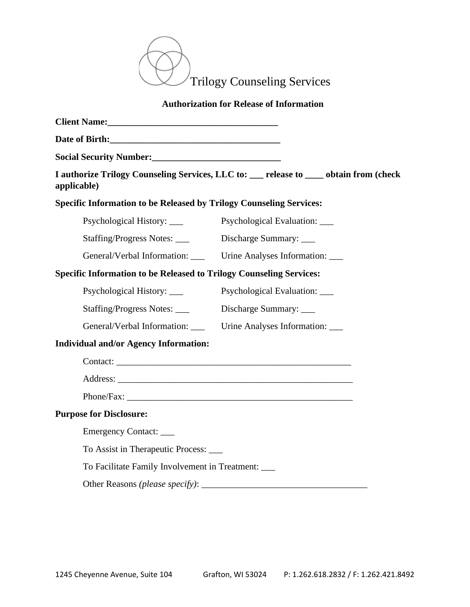

## **Authorization for Release of Information**

| Client Name: 1988 and 2008 and 2008 and 2008 and 2008 and 2008 and 2008 and 2008 and 2008 and 2008 and 2008 and 2008 and 2008 and 2008 and 2008 and 2008 and 2008 and 2008 and 2008 and 2008 and 2008 and 2008 and 2008 and 20 |                                                                                      |  |
|--------------------------------------------------------------------------------------------------------------------------------------------------------------------------------------------------------------------------------|--------------------------------------------------------------------------------------|--|
|                                                                                                                                                                                                                                |                                                                                      |  |
| Social Security Number: Management of the Social Security Number:                                                                                                                                                              |                                                                                      |  |
| applicable)                                                                                                                                                                                                                    | I authorize Trilogy Counseling Services, LLC to: __ release to __ obtain from (check |  |
| <b>Specific Information to be Released by Trilogy Counseling Services:</b>                                                                                                                                                     |                                                                                      |  |
| Psychological History: ____                                                                                                                                                                                                    | Psychological Evaluation:                                                            |  |
| Staffing/Progress Notes: _____ Discharge Summary: ____                                                                                                                                                                         |                                                                                      |  |
| General/Verbal Information: ____ Urine Analyses Information: ___                                                                                                                                                               |                                                                                      |  |
| <b>Specific Information to be Released to Trilogy Counseling Services:</b>                                                                                                                                                     |                                                                                      |  |
| Psychological History: ____                                                                                                                                                                                                    | Psychological Evaluation: _____                                                      |  |
| Staffing/Progress Notes:                                                                                                                                                                                                       | Discharge Summary:                                                                   |  |
| General/Verbal Information: _____ Urine Analyses Information: ____                                                                                                                                                             |                                                                                      |  |
| <b>Individual and/or Agency Information:</b>                                                                                                                                                                                   |                                                                                      |  |
|                                                                                                                                                                                                                                |                                                                                      |  |
|                                                                                                                                                                                                                                |                                                                                      |  |
|                                                                                                                                                                                                                                |                                                                                      |  |
| <b>Purpose for Disclosure:</b>                                                                                                                                                                                                 |                                                                                      |  |
| Emergency Contact: _____                                                                                                                                                                                                       |                                                                                      |  |
| To Assist in Therapeutic Process: _____                                                                                                                                                                                        |                                                                                      |  |
| To Facilitate Family Involvement in Treatment: ____                                                                                                                                                                            |                                                                                      |  |
|                                                                                                                                                                                                                                |                                                                                      |  |